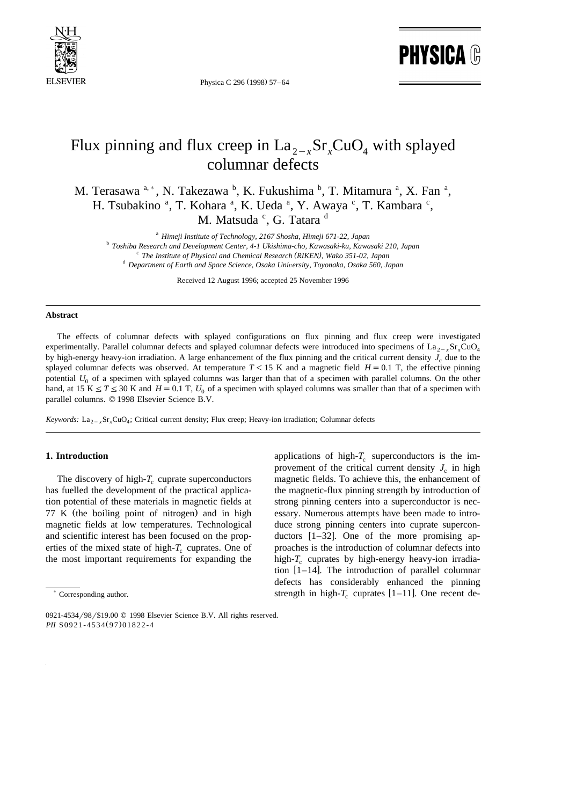

Physica C 296 (1998) 57-64

**PHYSICA ®** 

# Flux pinning and flux creep in  $La_{2-x}Sr_xCuO_x$  with splayed columnar defects

M. Terasawa  $a^a$ , N. Takezawa  $^b$ , K. Fukushima  $^b$ , T. Mitamura  $^a$ , X. Fan  $^a$ , H. Tsubakino<sup>a</sup>, T. Kohara<sup>a</sup>, K. Ueda<sup>a</sup>, Y. Awaya<sup>c</sup>, T. Kambara<sup>c</sup>, M. Matsuda <sup>c</sup>, G. Tatara <sup>d</sup>

<sup>a</sup> Himeji Institute of Technology, 2167 Shosha, Himeji 671-22, Japan<br><sup>b</sup> Toshiba Research and Development Center, 4-1 Ukishima-cho, Kawasaki-ku, Kawasaki 210, Japan<br><sup>c</sup> The Institute of Physical and Chemical Research (RI

Received 12 August 1996; accepted 25 November 1996

#### **Abstract**

The effects of columnar defects with splayed configurations on flux pinning and flux creep were investigated experimentally. Parallel columnar defects and splayed columnar defects were introduced into specimens of  $\text{La}_{2-x}\text{Sr}_{x}\text{CuO}_{4}$ by high-energy heavy-ion irradiation. A large enhancement of the flux pinning and the critical current density  $J_c$  due to the splayed columnar defects was observed. At temperature  $T<15$  K and a magnetic field  $H=0.1$  T, the effective pinning potential  $U_0$  of a specimen with splayed columns was larger than that of a specimen with parallel columns. On the other hand, at 15 K  $\leq T \leq 30$  K and *H* = 0.1 T,  $U_0$  of a specimen with splayed columns was smaller than that of a specimen with parallel columns.  $© 1998$  Elsevier Science B.V.

*Keywords:* La<sub>2 - x</sub>Sr<sub>x</sub>CuO<sub>4</sub>; Critical current density; Flux creep; Heavy-ion irradiation; Columnar defects

## **1. Introduction**

The discovery of high- $T_c$  cuprate superconductors has fuelled the development of the practical application potential of these materials in magnetic fields at  $77$  K (the boiling point of nitrogen) and in high magnetic fields at low temperatures. Technological and scientific interest has been focused on the properties of the mixed state of high- $T_c$  cuprates. One of the most important requirements for expanding the

applications of high- $T_c$  superconductors is the improvement of the critical current density  $J_c$  in high magnetic fields. To achieve this, the enhancement of the magnetic-flux pinning strength by introduction of strong pinning centers into a superconductor is necessary. Numerous attempts have been made to introduce strong pinning centers into cuprate superconductors  $[1-32]$ . One of the more promising approaches is the introduction of columnar defects into high- $T_c$  cuprates by high-energy heavy-ion irradiation  $[1-14]$ . The introduction of parallel columnar defects has considerably enhanced the pinning strength in high- $T_c$  cuprates [1–11]. One recent de-

<sup>)</sup> Corresponding author.

<sup>0921-4534/98/\$19.00 © 1998</sup> Elsevier Science B.V. All rights reserved. *PII* S0921-4534(97)01822-4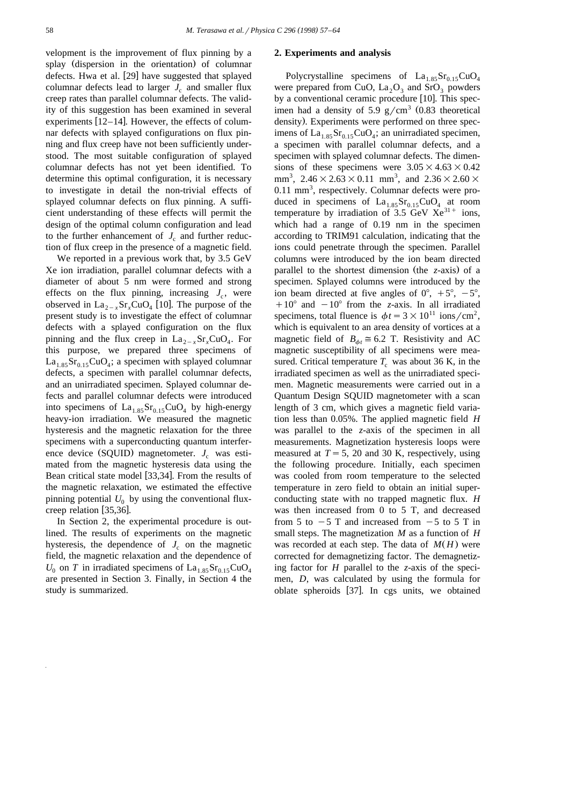velopment is the improvement of flux pinning by a splay (dispersion in the orientation) of columnar defects. Hwa et al. [29] have suggested that splayed columnar defects lead to larger  $J_c$  and smaller flux creep rates than parallel columnar defects. The validity of this suggestion has been examined in several experiments  $[12-14]$ . However, the effects of columnar defects with splayed configurations on flux pinning and flux creep have not been sufficiently understood. The most suitable configuration of splayed columnar defects has not yet been identified. To determine this optimal configuration, it is necessary to investigate in detail the non-trivial effects of splayed columnar defects on flux pinning. A sufficient understanding of these effects will permit the design of the optimal column configuration and lead to the further enhancement of  $J_c$  and further reduction of flux creep in the presence of a magnetic field.

We reported in a previous work that, by 3.5 GeV Xe ion irradiation, parallel columnar defects with a diameter of about 5 nm were formed and strong effects on the flux pinning, increasing  $J_c$ , were observed in  $\text{La}_{2-x}\text{Sr}_{x}\text{CuO}_{4}$  [10]. The purpose of the present study is to investigate the effect of columnar defects with a splayed configuration on the flux pinning and the flux creep in  $La_{2-x}Sr_xCuO_4$ . For this purpose, we prepared three specimens of  $La<sub>1.85</sub>Sr<sub>0.15</sub>CuO<sub>4</sub>$ ; a specimen with splayed columnar defects, a specimen with parallel columnar defects, and an unirradiated specimen. Splayed columnar defects and parallel columnar defects were introduced into specimens of  $La<sub>1.85</sub>Sr<sub>0.15</sub>CuO<sub>4</sub>$  by high-energy heavy-ion irradiation. We measured the magnetic hysteresis and the magnetic relaxation for the three specimens with a superconducting quantum interference device (SQUID) magnetometer.  $J_c$  was estimated from the magnetic hysteresis data using the Bean critical state model [33,34]. From the results of the magnetic relaxation, we estimated the effective pinning potential  $U_0$  by using the conventional fluxcreep relation  $[35,36]$ .

In Section 2, the experimental procedure is outlined. The results of experiments on the magnetic hysteresis, the dependence of  $J_c$  on the magnetic field, the magnetic relaxation and the dependence of  $U_0$  on *T* in irradiated specimens of  $La_{1.85}Sr_{0.15}CuO_4$ are presented in Section 3. Finally, in Section 4 the study is summarized.

#### **2. Experiments and analysis**

Polycrystalline specimens of  $La<sub>1.85</sub>Sr<sub>0.15</sub>CuO<sub>4</sub>$ were prepared from CuO,  $La_2O_3$  and SrO<sub>3</sub> powders by a conventional ceramic procedure [10]. This specimen had a density of 5.9  $g/cm<sup>3</sup>$  (0.83 theoretical density). Experiments were performed on three specimens of  $La<sub>1,85</sub>Sr<sub>0,15</sub>CuO<sub>4</sub>$ ; an unirradiated specimen, a specimen with parallel columnar defects, and a specimen with splayed columnar defects. The dimensions of these specimens were  $3.05\times4.63\times0.42$ mm<sup>3</sup>,  $2.46 \times 2.63 \times 0.11$  mm<sup>3</sup>, and  $2.36 \times 2.60 \times$ 0.11 mm<sup>3</sup>, respectively. Columnar defects were produced in specimens of  $La<sub>1.85</sub>Sr<sub>0.15</sub>CuO<sub>4</sub>$  at room temperature by irradiation of  $3.5 \text{ GeV}$   $\text{Xe}^{31+}$  ions, which had a range of 0.19 nm in the specimen according to TRIM91 calculation, indicating that the ions could penetrate through the specimen. Parallel columns were introduced by the ion beam directed parallel to the shortest dimension (the z-axis) of a specimen. Splayed columns were introduced by the ion beam directed at five angles of  $0^{\circ}$ ,  $+5^{\circ}$ ,  $-5^{\circ}$ ,  $+10^{\circ}$  and  $-10^{\circ}$  from the *z*-axis. In all irradiated specimens, total fluence is  $\phi t = 3 \times 10^{11}$  ions/cm<sup>2</sup>, which is equivalent to an area density of vortices at a magnetic field of  $B_{\phi t} \cong 6.2$  T. Resistivity and AC magnetic susceptibility of all specimens were measured. Critical temperature  $T_c$  was about 36 K, in the irradiated specimen as well as the unirradiated specimen. Magnetic measurements were carried out in a Quantum Design SQUID magnetometer with a scan length of 3 cm, which gives a magnetic field variation less than 0.05%. The applied magnetic field *H* was parallel to the *z*-axis of the specimen in all measurements. Magnetization hysteresis loops were measured at  $T = 5$ , 20 and 30 K, respectively, using the following procedure. Initially, each specimen was cooled from room temperature to the selected temperature in zero field to obtain an initial superconducting state with no trapped magnetic flux. *H* was then increased from 0 to 5 T, and decreased from 5 to  $-5$  T and increased from  $-5$  to 5 T in small steps. The magnetization *M* as a function of *H* was recorded at each step. The data of  $M(H)$  were corrected for demagnetizing factor. The demagnetizing factor for *H* parallel to the *z*-axis of the specimen, *D*, was calculated by using the formula for oblate spheroids [37]. In cgs units, we obtained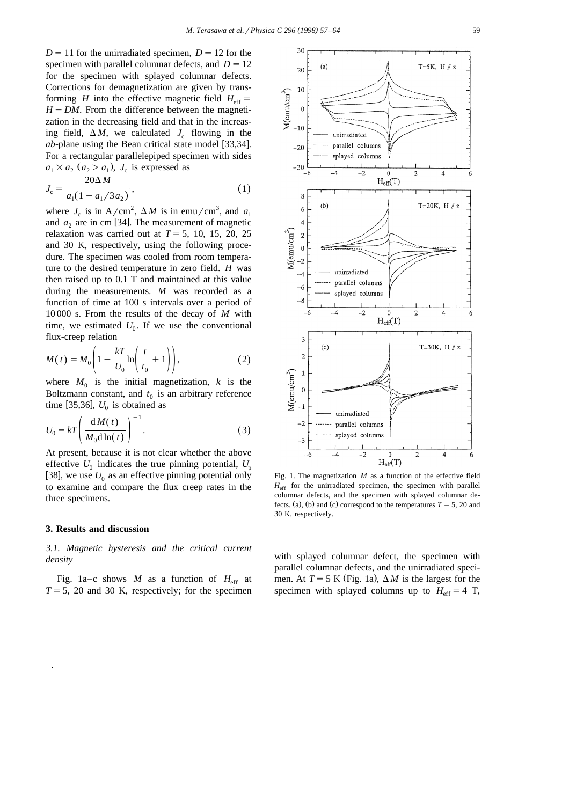30

 $D = 11$  for the unirradiated specimen,  $D = 12$  for the specimen with parallel columnar defects, and  $D = 12$ for the specimen with splayed columnar defects. Corrections for demagnetization are given by transforming *H* into the effective magnetic field  $H_{eff}$  =  $H$  – *DM*. From the difference between the magnetization in the decreasing field and that in the increasing field,  $\Delta M$ , we calculated  $J_c$  flowing in the *ab*-plane using the Bean critical state model  $[33,34]$ . For a rectangular parallelepiped specimen with sides  $a_1 \times a_2$  ( $a_2 > a_1$ ),  $J_c$  is expressed as

$$
J_c = \frac{20\Delta M}{a_1(1 - a_1/3a_2)},
$$
\n(1)

where  $J_c$  is in A/cm<sup>2</sup>,  $\Delta M$  is in emu/cm<sup>3</sup>, and  $a_1$ and  $a_2$  are in cm [34]. The measurement of magnetic relaxation was carried out at  $T=5$ , 10, 15, 20, 25 and 30 K, respectively, using the following procedure. The specimen was cooled from room temperature to the desired temperature in zero field. *H* was then raised up to 0.1 T and maintained at this value during the measurements. *M* was recorded as a function of time at 100 s intervals over a period of 10 000 s. From the results of the decay of *M* with time, we estimated  $U_0$ . If we use the conventional flux-creep relation

$$
M(t) = M_0 \left( 1 - \frac{kT}{U_0} \ln \left( \frac{t}{t_0} + 1 \right) \right),\tag{2}
$$

where  $M_0$  is the initial magnetization, k is the Boltzmann constant, and  $t_0$  is an arbitrary reference time [35,36],  $U_0$  is obtained as

$$
U_0 = kT \left( \frac{dM(t)}{M_0 d \ln(t)} \right)^{-1}.
$$
 (3)

At present, because it is not clear whether the above effective  $U_0$  indicates the true pinning potential,  $U_p$ [38], we use  $U_0$  as an effective pinning potential only to examine and compare the flux creep rates in the three specimens.

## **3. Results and discussion**

*3.1. Magnetic hysteresis and the critical current density*

Fig. 1a–c shows *M* as a function of  $H_{\text{eff}}$  at  $T=5$ , 20 and 30 K, respectively; for the specimen



Fig. 1. The magnetization *M* as a function of the effective field  $H_{\text{eff}}$  for the unirradiated specimen, the specimen with parallel columnar defects, and the specimen with splayed columnar defects. (a), (b) and (c) correspond to the temperatures  $T = 5$ , 20 and 30 K, respectively.

with splayed columnar defect, the specimen with parallel columnar defects, and the unirradiated specimen. At  $T = 5$  K (Fig. 1a),  $\Delta M$  is the largest for the specimen with splayed columns up to  $H_{\text{eff}} = 4$  T,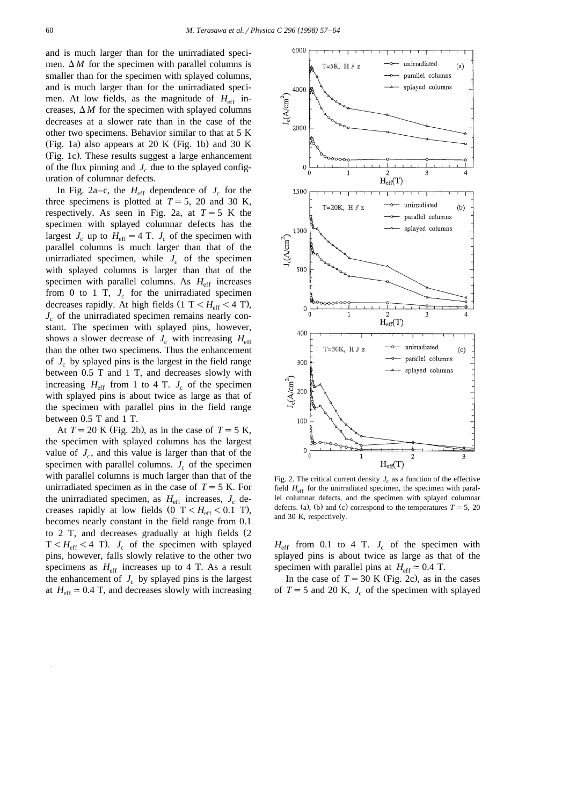and is much larger than for the unirradiated specimen.  $\Delta M$  for the specimen with parallel columns is smaller than for the specimen with splayed columns, and is much larger than for the unirradiated specimen. At low fields, as the magnitude of  $H_{\text{eff}}$  increases,  $\Delta M$  for the specimen with splayed columns decreases at a slower rate than in the case of the other two specimens. Behavior similar to that at 5 K (Fig. 1a) also appears at 20 K (Fig. 1b) and 30 K (Fig. 1c). These results suggest a large enhancement of the flux pinning and  $J_c$  due to the splayed configuration of columnar defects.

In Fig. 2a–c, the  $H_{\text{eff}}$  dependence of  $J_c$  for the three specimens is plotted at  $T = 5$ , 20 and 30 K, respectively. As seen in Fig. 2a, at  $T = 5$  K the specimen with splayed columnar defects has the largest  $J_c$  up to  $H_{\text{eff}} = 4$  T.  $J_c$  of the specimen with parallel columns is much larger than that of the unirradiated specimen, while  $J_c$  of the specimen with splayed columns is larger than that of the specimen with parallel columns. As  $H_{\text{eff}}$  increases from 0 to 1 T,  $J_c$  for the unirradiated specimen decreases rapidly. At high fields  $(1 \text{ T} < H_{\text{eff}} < 4 \text{ T})$ ,  $J_c$  of the unirradiated specimen remains nearly constant. The specimen with splayed pins, however, shows a slower decrease of  $J_c$  with increasing  $H_{\text{eff}}$ than the other two specimens. Thus the enhancement of  $J_c$  by splayed pins is the largest in the field range between 0.5 T and 1 T, and decreases slowly with increasing  $H_{\text{eff}}$  from 1 to 4 T.  $J_c$  of the specimen with splayed pins is about twice as large as that of the specimen with parallel pins in the field range between 0.5 T and 1 T.

At  $T = 20$  K (Fig. 2b), as in the case of  $T = 5$  K, the specimen with splayed columns has the largest value of  $J_c$ , and this value is larger than that of the specimen with parallel columns.  $J_c$  of the specimen with parallel columns is much larger than that of the unirradiated specimen as in the case of  $T = 5$  K. For the unirradiated specimen, as  $H_{\text{eff}}$  increases,  $J_c$  decreases rapidly at low fields  $(0 \text{ T} < H_{\text{eff}} < 0.1 \text{ T})$ , becomes nearly constant in the field range from 0.1 to  $2$  T, and decreases gradually at high fields  $(2)$  $T < H<sub>eff</sub> < 4$  T. *J<sub>c</sub>* of the specimen with splayed pins, however, falls slowly relative to the other two specimens as  $H_{\text{eff}}$  increases up to 4 T. As a result the enhancement of  $J_c$  by splayed pins is the largest at  $H_{\text{eff}} \approx 0.4$  T, and decreases slowly with increasing



Fig. 2. The critical current density  $J_c$  as a function of the effective field  $H_{\text{eff}}$  for the unirradiated specimen, the specimen with parallel columnar defects, and the specimen with splayed columnar defects. (a), (b) and (c) correspond to the temperatures  $T = 5$ , 20 and 30 K, respectively.

 $H_{\text{eff}}$  from 0.1 to 4 T.  $J_c$  of the specimen with splayed pins is about twice as large as that of the specimen with parallel pins at  $H_{\text{eff}} \approx 0.4$  T.

In the case of  $T = 30$  K (Fig. 2c), as in the cases of  $T = 5$  and 20 K,  $J_c$  of the specimen with splayed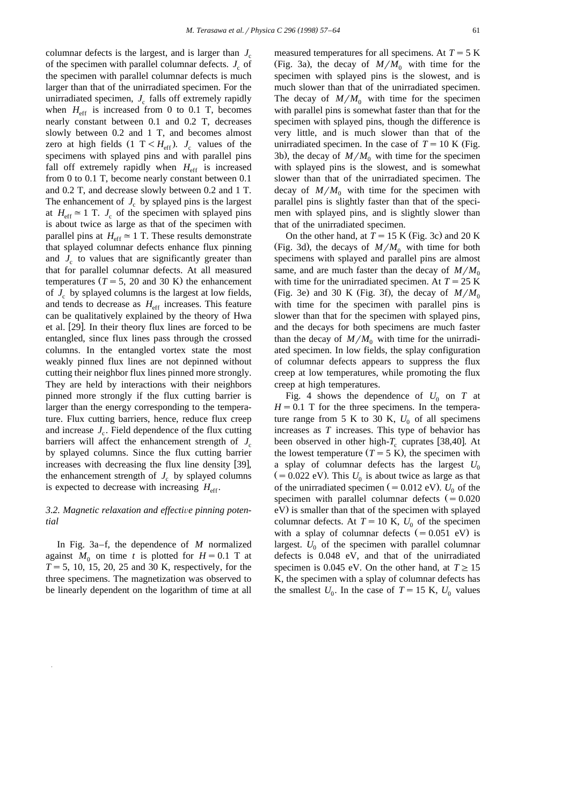columnar defects is the largest, and is larger than *J<sub>c</sub>* of the specimen with parallel columnar defects.  $J_c$  of the specimen with parallel columnar defects is much larger than that of the unirradiated specimen. For the unirradiated specimen,  $J_c$  falls off extremely rapidly when  $H_{\text{eff}}$  is increased from 0 to 0.1 T, becomes nearly constant between 0.1 and 0.2 T, decreases slowly between 0.2 and 1 T, and becomes almost zero at high fields  $(1 \text{ T} < H_{\text{eff}})$ .  $J_c$  values of the specimens with splayed pins and with parallel pins fall off extremely rapidly when  $H_{\text{eff}}$  is increased from 0 to 0.1 T, become nearly constant between 0.1 and 0.2 T, and decrease slowly between 0.2 and 1 T. The enhancement of  $J_c$  by splayed pins is the largest at  $H_{\text{eff}} \approx 1$  T.  $J_c$  of the specimen with splayed pins is about twice as large as that of the specimen with parallel pins at  $H_{\text{eff}} \approx 1$  T. These results demonstrate that splayed columnar defects enhance flux pinning and  $J_c$  to values that are significantly greater than that for parallel columnar defects. At all measured temperatures  $(T = 5, 20$  and 30 K) the enhancement of  $J_c$  by splayed columns is the largest at low fields, and tends to decrease as  $H_{\text{eff}}$  increases. This feature can be qualitatively explained by the theory of Hwa et al. [29]. In their theory flux lines are forced to be entangled, since flux lines pass through the crossed columns. In the entangled vortex state the most weakly pinned flux lines are not depinned without cutting their neighbor flux lines pinned more strongly. They are held by interactions with their neighbors pinned more strongly if the flux cutting barrier is larger than the energy corresponding to the temperature. Flux cutting barriers, hence, reduce flux creep and increase  $J_c$ . Field dependence of the flux cutting barriers will affect the enhancement strength of  $J_c$ by splayed columns. Since the flux cutting barrier increases with decreasing the flux line density [39], the enhancement strength of  $J_c$  by splayed columns is expected to decrease with increasing  $H_{\text{eff}}$ .

# *3.2. Magnetic relaxation and effecti*Õ*e pinning potential*

In Fig. 3a–f, the dependence of *M* normalized against  $M_0$  on time *t* is plotted for  $H = 0.1$  T at  $T = 5$ , 10, 15, 20, 25 and 30 K, respectively, for the three specimens. The magnetization was observed to be linearly dependent on the logarithm of time at all measured temperatures for all specimens. At  $T = 5$  K (Fig. 3a), the decay of  $M/M_0$  with time for the specimen with splayed pins is the slowest, and is much slower than that of the unirradiated specimen. The decay of  $M/M_0$  with time for the specimen with parallel pins is somewhat faster than that for the specimen with splayed pins, though the difference is very little, and is much slower than that of the unirradiated specimen. In the case of  $T = 10$  K (Fig. 3b), the decay of  $M/M_0$  with time for the specimen with splayed pins is the slowest, and is somewhat slower than that of the unirradiated specimen. The decay of  $M/M_0$  with time for the specimen with parallel pins is slightly faster than that of the specimen with splayed pins, and is slightly slower than that of the unirradiated specimen.

On the other hand, at  $T = 15$  K (Fig. 3c) and 20 K (Fig. 3d), the decays of  $M/M_0$  with time for both specimens with splayed and parallel pins are almost same, and are much faster than the decay of  $M/M_0$ with time for the unirradiated specimen. At  $T = 25$  K (Fig. 3e) and 30 K (Fig. 3f), the decay of  $M/M_0$ with time for the specimen with parallel pins is slower than that for the specimen with splayed pins, and the decays for both specimens are much faster than the decay of  $M/M_0$  with time for the unirradiated specimen. In low fields, the splay configuration of columnar defects appears to suppress the flux creep at low temperatures, while promoting the flux creep at high temperatures.

Fig. 4 shows the dependence of  $U_0$  on  $T$  at  $H = 0.1$  T for the three specimens. In the temperature range from 5 K to 30 K,  $U_0$  of all specimens increases as *T* increases. This type of behavior has been observed in other high- $T_c$  cuprates [38,40]. At the lowest temperature  $(T = 5 K)$ , the specimen with a splay of columnar defects has the largest  $U_0$  $(0.022 \text{ eV})$ . This  $U_0$  is about twice as large as that of the unirradiated specimen ( $= 0.012$  eV).  $U_0$  of the specimen with parallel columnar defects  $(=0.020$ eV) is smaller than that of the specimen with splayed columnar defects. At  $T = 10$  K,  $U_0$  of the specimen with a splay of columnar defects  $(= 0.051 \text{ eV})$  is largest.  $U_0$  of the specimen with parallel columnar defects is 0.048 eV, and that of the unirradiated specimen is 0.045 eV. On the other hand, at  $T \ge 15$ K, the specimen with a splay of columnar defects has the smallest  $U_0$ . In the case of  $T = 15$  K,  $U_0$  values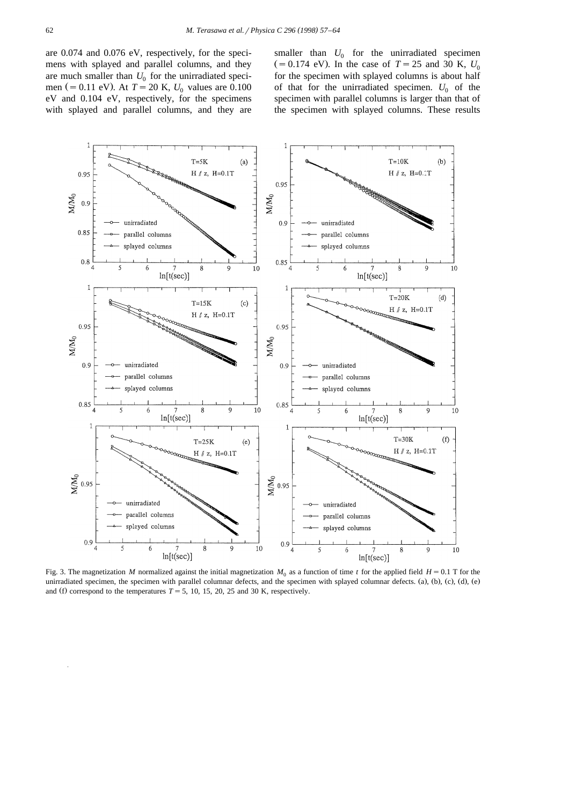are 0.074 and 0.076 eV, respectively, for the specimens with splayed and parallel columns, and they are much smaller than  $U_0$  for the unirradiated specimen (= 0.11 eV). At  $T = 20$  K,  $U_0$  values are 0.100 eV and 0.104 eV, respectively, for the specimens with splayed and parallel columns, and they are

smaller than  $U_0$  for the unirradiated specimen  $(= 0.174 \text{ eV})$ . In the case of  $T = 25$  and 30 K,  $U_0$ for the specimen with splayed columns is about half of that for the unirradiated specimen.  $U_0$  of the specimen with parallel columns is larger than that of the specimen with splayed columns. These results



Fig. 3. The magnetization *M* normalized against the initial magnetization  $M_0$  as a function of time *t* for the applied field  $H = 0.1$  T for the unirradiated specimen, the specimen with parallel columnar defects, and the specimen with splayed columnar defects. (a), (b), (c), (d), (e) and (f) correspond to the temperatures  $T = 5$ , 10, 15, 20, 25 and 30 K, respectively.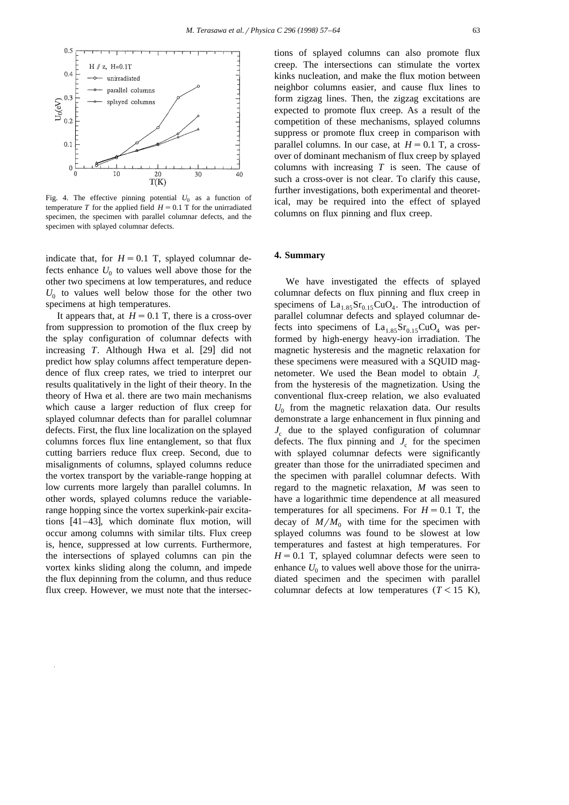

Fig. 4. The effective pinning potential  $U_0$  as a function of temperature *T* for the applied field  $H = 0.1$  T for the unirradiated specimen, the specimen with parallel columnar defects, and the specimen with splayed columnar defects.

indicate that, for  $H = 0.1$  T, splayed columnar defects enhance  $U_0$  to values well above those for the other two specimens at low temperatures, and reduce  $U_0$  to values well below those for the other two specimens at high temperatures.

It appears that, at  $H = 0.1$  T, there is a cross-over from suppression to promotion of the flux creep by the splay configuration of columnar defects with increasing  $T$ . Although Hwa et al. [29] did not predict how splay columns affect temperature dependence of flux creep rates, we tried to interpret our results qualitatively in the light of their theory. In the theory of Hwa et al. there are two main mechanisms which cause a larger reduction of flux creep for splayed columnar defects than for parallel columnar defects. First, the flux line localization on the splayed columns forces flux line entanglement, so that flux cutting barriers reduce flux creep. Second, due to misalignments of columns, splayed columns reduce the vortex transport by the variable-range hopping at low currents more largely than parallel columns. In other words, splayed columns reduce the variablerange hopping since the vortex superkink-pair excitations  $[41-43]$ , which dominate flux motion, will occur among columns with similar tilts. Flux creep is, hence, suppressed at low currents. Furthermore, the intersections of splayed columns can pin the vortex kinks sliding along the column, and impede the flux depinning from the column, and thus reduce flux creep. However, we must note that the intersections of splayed columns can also promote flux creep. The intersections can stimulate the vortex kinks nucleation, and make the flux motion between neighbor columns easier, and cause flux lines to form zigzag lines. Then, the zigzag excitations are expected to promote flux creep. As a result of the competition of these mechanisms, splayed columns suppress or promote flux creep in comparison with parallel columns. In our case, at  $H = 0.1$  T, a crossover of dominant mechanism of flux creep by splayed columns with increasing *T* is seen. The cause of such a cross-over is not clear. To clarify this cause, further investigations, both experimental and theoretical, may be required into the effect of splayed columns on flux pinning and flux creep.

### **4. Summary**

We have investigated the effects of splayed columnar defects on flux pinning and flux creep in specimens of  $La<sub>1.85</sub>Sr<sub>0.15</sub>CuO<sub>4</sub>$ . The introduction of parallel columnar defects and splayed columnar defects into specimens of  $La<sub>1.85</sub>Sr<sub>0.15</sub>CuO<sub>4</sub>$  was performed by high-energy heavy-ion irradiation. The magnetic hysteresis and the magnetic relaxation for these specimens were measured with a SQUID magnetometer. We used the Bean model to obtain  $J_c$ from the hysteresis of the magnetization. Using the conventional flux-creep relation, we also evaluated  $U_0$  from the magnetic relaxation data. Our results demonstrate a large enhancement in flux pinning and  $J_c$  due to the splayed configuration of columnar defects. The flux pinning and  $J<sub>c</sub>$  for the specimen with splayed columnar defects were significantly greater than those for the unirradiated specimen and the specimen with parallel columnar defects. With regard to the magnetic relaxation, *M* was seen to have a logarithmic time dependence at all measured temperatures for all specimens. For  $H = 0.1$  T, the decay of  $M/M_0$  with time for the specimen with splayed columns was found to be slowest at low temperatures and fastest at high temperatures. For  $H = 0.1$  T, splayed columnar defects were seen to enhance  $U_0$  to values well above those for the unirradiated specimen and the specimen with parallel columnar defects at low temperatures  $(T < 15$  K),